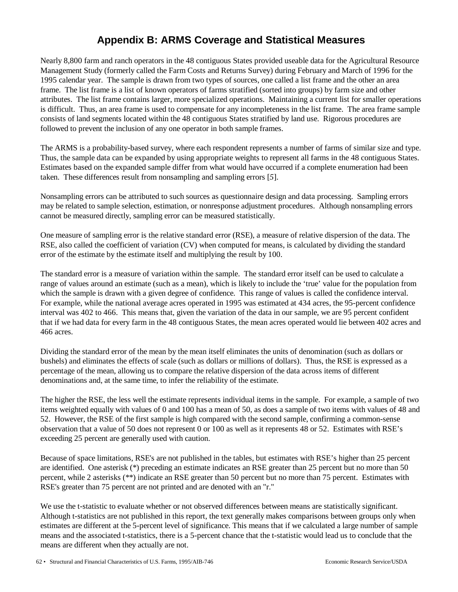## **Appendix B: ARMS Coverage and Statistical Measures**

Nearly 8,800 farm and ranch operators in the 48 contiguous States provided useable data for the Agricultural Resource Management Study (formerly called the Farm Costs and Returns Survey) during February and March of 1996 for the 1995 calendar year. The sample is drawn from two types of sources, one called a list frame and the other an area frame. The list frame is a list of known operators of farms stratified (sorted into groups) by farm size and other attributes. The list frame contains larger, more specialized operations. Maintaining a current list for smaller operations is difficult. Thus, an area frame is used to compensate for any incompleteness in the list frame. The area frame sample consists of land segments located within the 48 contiguous States stratified by land use. Rigorous procedures are followed to prevent the inclusion of any one operator in both sample frames.

The ARMS is a probability-based survey, where each respondent represents a number of farms of similar size and type. Thus, the sample data can be expanded by using appropriate weights to represent all farms in the 48 contiguous States. Estimates based on the expanded sample differ from what would have occurred if a complete enumeration had been taken. These differences result from nonsampling and sampling errors [*5*].

Nonsampling errors can be attributed to such sources as questionnaire design and data processing. Sampling errors may be related to sample selection, estimation, or nonresponse adjustment procedures. Although nonsampling errors cannot be measured directly, sampling error can be measured statistically.

One measure of sampling error is the relative standard error (RSE), a measure of relative dispersion of the data. The RSE, also called the coefficient of variation (CV) when computed for means, is calculated by dividing the standard error of the estimate by the estimate itself and multiplying the result by 100.

The standard error is a measure of variation within the sample. The standard error itself can be used to calculate a range of values around an estimate (such as a mean), which is likely to include the 'true' value for the population from which the sample is drawn with a given degree of confidence. This range of values is called the confidence interval. For example, while the national average acres operated in 1995 was estimated at 434 acres, the 95-percent confidence interval was 402 to 466. This means that, given the variation of the data in our sample, we are 95 percent confident that if we had data for every farm in the 48 contiguous States, the mean acres operated would lie between 402 acres and 466 acres.

Dividing the standard error of the mean by the mean itself eliminates the units of denomination (such as dollars or bushels) and eliminates the effects of scale (such as dollars or millions of dollars). Thus, the RSE is expressed as a percentage of the mean, allowing us to compare the relative dispersion of the data across items of different denominations and, at the same time, to infer the reliability of the estimate.

The higher the RSE, the less well the estimate represents individual items in the sample. For example, a sample of two items weighted equally with values of 0 and 100 has a mean of 50, as does a sample of two items with values of 48 and 52. However, the RSE of the first sample is high compared with the second sample, confirming a common-sense observation that a value of 50 does not represent 0 or 100 as well as it represents 48 or 52. Estimates with RSE's exceeding 25 percent are generally used with caution.

Because of space limitations, RSE's are not published in the tables, but estimates with RSE's higher than 25 percent are identified. One asterisk (\*) preceding an estimate indicates an RSE greater than 25 percent but no more than 50 percent, while 2 asterisks (\*\*) indicate an RSE greater than 50 percent but no more than 75 percent. Estimates with RSE's greater than 75 percent are not printed and are denoted with an "r."

We use the t-statistic to evaluate whether or not observed differences between means are statistically significant. Although t-statistics are not published in this report, the text generally makes comparisons between groups only when estimates are different at the 5-percent level of significance. This means that if we calculated a large number of sample means and the associated t-statistics, there is a 5-percent chance that the t-statistic would lead us to conclude that the means are different when they actually are not.